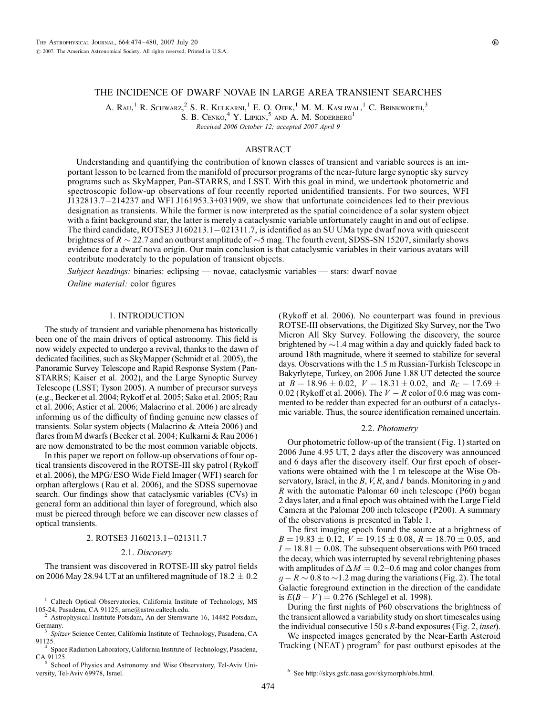# THE INCIDENCE OF DWARF NOVAE IN LARGE AREA TRANSIENT SEARCHES

A. Rau,<sup>1</sup> R. Schwarz,<sup>2</sup> S. R. Kulkarni,<sup>1</sup> E. O. Ofek,<sup>1</sup> M. M. Kasliwal,<sup>1</sup> C. Brinkworth,<sup>3</sup>

S. B. Cenko,  $4$  Y. Lipkin,  $5$  and A. M. Soderberg<sup>1</sup>

Received 2006 October 12; accepted 2007 April 9

## ABSTRACT

Understanding and quantifying the contribution of known classes of transient and variable sources is an important lesson to be learned from the manifold of precursor programs of the near-future large synoptic sky survey programs such as SkyMapper, Pan-STARRS, and LSST. With this goal in mind, we undertook photometric and spectroscopic follow-up observations of four recently reported unidentified transients. For two sources, WFI J132813.7214237 and WFI J161953.3+031909, we show that unfortunate coincidences led to their previous designation as transients. While the former is now interpreted as the spatial coincidence of a solar system object with a faint background star, the latter is merely a cataclysmic variable unfortunately caught in and out of eclipse. The third candidate, ROTSE3 J160213.1-021311.7, is identified as an SU UMa type dwarf nova with quiescent brightness of  $R \sim 22.7$  and an outburst amplitude of  $\sim$ 5 mag. The fourth event, SDSS-SN 15207, similarly shows evidence for a dwarf nova origin. Our main conclusion is that cataclysmic variables in their various avatars will contribute moderately to the population of transient objects.

Subject headinggs: binaries: eclipsing — novae, cataclysmic variables — stars: dwarf novae Online material: color figures

## 1. INTRODUCTION

The study of transient and variable phenomena has historically been one of the main drivers of optical astronomy. This field is now widely expected to undergo a revival, thanks to the dawn of dedicated facilities, such as SkyMapper (Schmidt et al. 2005), the Panoramic Survey Telescope and Rapid Response System (Pan-STARRS; Kaiser et al. 2002), and the Large Synoptic Survey Telescope (LSST; Tyson 2005). A number of precursor surveys (e.g., Becker et al. 2004; Rykoff et al. 2005; Sako et al. 2005; Rau et al. 2006; Astier et al. 2006; Malacrino et al. 2006 ) are already informing us of the difficulty of finding genuine new classes of transients. Solar system objects (Malacrino & Atteia 2006 ) and flares from M dwarfs (Becker et al. 2004; Kulkarni & Rau 2006 ) are now demonstrated to be the most common variable objects.

In this paper we report on follow-up observations of four optical transients discovered in the ROTSE-III sky patrol (Rykoff et al. 2006), the MPG/ESO Wide Field Imager (WFI ) search for orphan afterglows (Rau et al. 2006), and the SDSS supernovae search. Our findings show that cataclysmic variables (CVs) in general form an additional thin layer of foreground, which also must be pierced through before we can discover new classes of optical transients.

### 2. ROTSE3 J160213.1-021311.7

#### 2.1. Discovery

The transient was discovered in ROTSE-III sky patrol fields on 2006 May 28.94 UT at an unfiltered magnitude of  $18.2 \pm 0.2$ 

<sup>1</sup> Caltech Optical Observatories, California Institute of Technology, MS

105-24, Pasadena, CA 91125; arne@astro.caltech.edu.<br>
<sup>2</sup> Astrophysical Institute Potsdam, An der Sternwarte 16, 14482 Potsdam, Germany.

Spitzer Science Center, California Institute of Technology, Pasadena, CA

91125.<br><sup>4</sup> Space Radiation Laboratory, California Institute of Technology, Pasadena,<br>CA 91125.<br><sup>5</sup> Sector of Physics and Astronomy and Wise Observatory. Tel. Aviv Uni-

School of Physics and Astronomy and Wise Observatory, Tel-Aviv University, Tel-Aviv 69978, Israel.

(Rykoff et al. 2006). No counterpart was found in previous ROTSE-III observations, the Digitized Sky Survey, nor the Two Micron All Sky Survey. Following the discovery, the source brightened by  $\sim$  1.4 mag within a day and quickly faded back to around 18th magnitude, where it seemed to stabilize for several days. Observations with the 1.5 m Russian-Turkish Telescope in Bakyrlytepe, Turkey, on 2006 June 1.88 UT detected the source at  $B = 18.96 \pm 0.02$ ,  $V = 18.31 \pm 0.02$ , and  $R_C = 17.69 \pm 0.02$ 0.02 (Rykoff et al. 2006). The  $V - R$  color of 0.6 mag was commented to be redder than expected for an outburst of a cataclysmic variable. Thus, the source identification remained uncertain.

#### 2.2. Photometry

Our photometric follow-up of the transient (Fig. 1) started on 2006 June 4.95 UT, 2 days after the discovery was announced and 6 days after the discovery itself. Our first epoch of observations were obtained with the 1 m telescope at the Wise Observatory, Israel, in the B, V, R, and I bands. Monitoring in g and  $R$  with the automatic Palomar 60 inch telescope (P60) began 2 days later, and a final epoch was obtained with the Large Field Camera at the Palomar 200 inch telescope ( P200). A summary of the observations is presented in Table 1.

The first imaging epoch found the source at a brightness of  $B = 19.83 \pm 0.12$ ,  $V = 19.15 \pm 0.08$ ,  $R = 18.70 \pm 0.05$ , and  $I = 18.81 \pm 0.08$ . The subsequent observations with P60 traced the decay, which was interrupted by several rebrightening phases with amplitudes of  $\Delta M = 0.2$ –0.6 mag and color changes from  $g - R \sim 0.8$  to  $\sim$  1.2 mag during the variations (Fig. 2). The total Galactic foreground extinction in the direction of the candidate is  $E(B - V) = 0.276$  (Schlegel et al. 1998).

During the first nights of P60 observations the brightness of the transient allowed a variability study on short timescales using the individual consecutive 150 s R-band exposures (Fig. 2, inset).

We inspected images generated by the Near-Earth Asteroid Tracking (NEAT) program<sup>6</sup> for past outburst episodes at the

<sup>6</sup> See http://skys.gsfc.nasa.gov/skymorph/obs.html.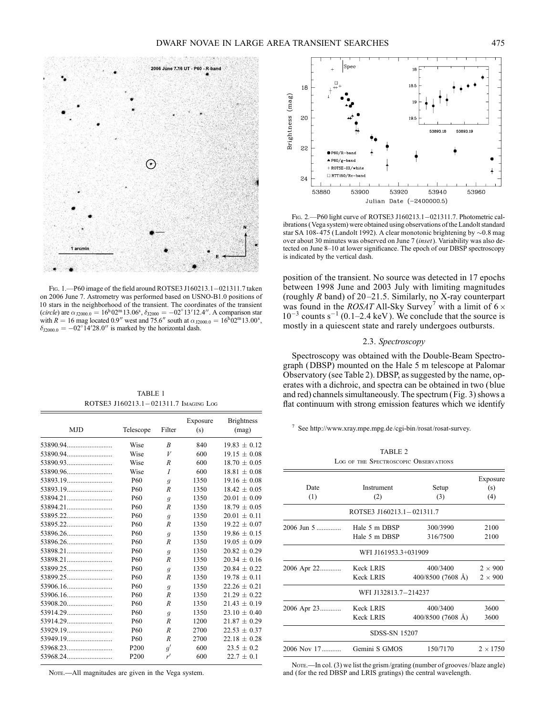

FIG. 1. - P60 image of the field around ROTSE3 J160213.1-021311.7 taken on 2006 June 7. Astrometry was performed based on USNO-B1.0 positions of 10 stars in the neighborhood of the transient. The coordinates of the transient (*circle*) are  $\alpha_{12000.0} = 16^{\text{h}} 02^{\text{m}} 13.06^{\text{s}}$ ,  $\delta_{12000} = -02^{\circ} 13' 12.4''$ . A comparison star with  $R = 16$  mag located 0.9" west and 75.6" south at  $\alpha_{\text{J2000.0}} = 16^{\text{h}}02^{\text{m}}13.00^{\text{s}}$ ,  $\delta_{\text{J2000.0}} = -02^{\circ}14^{\prime}28.0^{\prime\prime}$  is marked by the horizontal dash.

TABLE 1 ROTSE3 J160213.1-021311.7 IMAGING LOG

| <b>MJD</b> | Telescope        | Filter           | Exposure<br>(s) | <b>Brightness</b><br>(mag) |
|------------|------------------|------------------|-----------------|----------------------------|
|            | Wise             | $\boldsymbol{B}$ | 840             | $19.83 \pm 0.12$           |
|            | Wise             | V                | 600             | $19.15 \pm 0.08$           |
|            | Wise             | R                | 600             | $18.70 \pm 0.05$           |
|            | Wise             | $\overline{I}$   | 600             | $18.81 \pm 0.08$           |
|            | P <sub>60</sub>  | $\mathfrak{g}$   | 1350            | $19.16 \pm 0.08$           |
|            | <b>P60</b>       | R                | 1350            | $18.42 \pm 0.05$           |
|            | <b>P60</b>       | $\overline{g}$   | 1350            | $20.01 \pm 0.09$           |
|            | <b>P60</b>       | R                | 1350            | $18.79 \pm 0.05$           |
|            | <b>P60</b>       | $\overline{g}$   | 1350            | $20.01 \pm 0.11$           |
|            | <b>P60</b>       | $\overline{R}$   | 1350            | $19.22 + 0.07$             |
|            | <b>P60</b>       | $\overline{g}$   | 1350            | $19.86 \pm 0.15$           |
|            | <b>P60</b>       | $\overline{R}$   | 1350            | $19.05 + 0.09$             |
|            | <b>P60</b>       | $\mathfrak{g}$   | 1350            | $20.82 \pm 0.29$           |
| 53898.21   | <b>P60</b>       | $\overline{R}$   | 1350            | $20.34 + 0.16$             |
|            | <b>P60</b>       | $\mathfrak{g}$   | 1350            | $20.84 \pm 0.22$           |
|            | <b>P60</b>       | R                | 1350            | $19.78 \pm 0.11$           |
|            | <b>P60</b>       | $\overline{g}$   | 1350            | $22.26 \pm 0.21$           |
|            | <b>P60</b>       | $\overline{R}$   | 1350            | $21.29 \pm 0.22$           |
|            | <b>P60</b>       | R                | 1350            | $21.43 \pm 0.19$           |
|            | P <sub>60</sub>  | $\overline{g}$   | 1350            | $23.10 \pm 0.40$           |
|            | P60              | $\overline{R}$   | 1200            | $21.87 \pm 0.29$           |
|            | <b>P60</b>       | R                | 2700            | $22.53 \pm 0.37$           |
|            | <b>P60</b>       | $\overline{R}$   | 2700            | $22.18 + 0.28$             |
|            | P <sub>200</sub> | q'               | 600             | $23.5 \pm 0.2$             |
|            | P <sub>200</sub> | r'               | 600             | $22.7 \pm 0.1$             |

Nore.—All magnitudes are given in the Vega system.



FIG. 2. - P60 light curve of ROTSE3 J160213.1-021311.7. Photometric calibrations ( Vega system) were obtained using observations of the Landolt standard star SA 108-475 (Landolt 1992). A clear monotonic brightening by  $\sim$ 0.8 mag over about 30 minutes was observed on June 7 (inset). Variability was also detected on June 8-10 at lower significance. The epoch of our DBSP spectroscopy is indicated by the vertical dash.

position of the transient. No source was detected in 17 epochs between 1998 June and 2003 July with limiting magnitudes (roughly  $R$  band) of 20–21.5. Similarly, no X-ray counterpart was found in the *ROSAT* All-Sky Survey<sup>7</sup> with a limit of  $6 \times$  $10^{-3}$  counts s<sup>-1</sup> (0.1-2.4 keV). We conclude that the source is mostly in a quiescent state and rarely undergoes outbursts.

# 2.3. Spectroscopy

Spectroscopy was obtained with the Double-Beam Spectrograph (DBSP) mounted on the Hale 5 m telescope at Palomar Observatory (see Table 2). DBSP, as suggested by the name, operates with a dichroic, and spectra can be obtained in two ( blue and red) channels simultaneously. The spectrum (Fig. 3) shows a flat continuum with strong emission features which we identify

<sup>7</sup> See http://www.xray.mpe.mpg.de/cgi-bin /rosat/rosat-survey.

|                 | TABLE 2                               |                               |                                  |
|-----------------|---------------------------------------|-------------------------------|----------------------------------|
|                 | LOG OF THE SPECTROSCOPIC OBSERVATIONS |                               |                                  |
| Date<br>(1)     | Instrument<br>(2)                     | Setup<br>(3)                  | Exposure<br>(s)<br>(4)           |
|                 | ROTSE3 J160213.1-021311.7             |                               |                                  |
| $2006$ Jun 5    | Hale 5 m DBSP<br>Hale 5 m DBSP        | 300/3990<br>316/7500          | 2100<br>2100                     |
|                 | WFI J161953.3+031909                  |                               |                                  |
| 2006 Apr 22     | <b>Keck LRIS</b><br>Keck LRIS         | 400/3400<br>400/8500 (7608 Å) | $2 \times 900$<br>$2 \times 900$ |
|                 | WFI J132813.7-214237                  |                               |                                  |
| 2006 Apr 23     | Keck LRIS<br>Keck LRIS                | 400/3400<br>400/8500 (7608 Å) | 3600<br>3600                     |
|                 | <b>SDSS-SN 15207</b>                  |                               |                                  |
| $2006$ Nov $17$ | Gemini S GMOS                         | 150/7170                      | $2 \times 1750$                  |

NOTE.—In col. (3) we list the grism/grating (number of grooves/blaze angle) and (for the red DBSP and LRIS gratings) the central wavelength.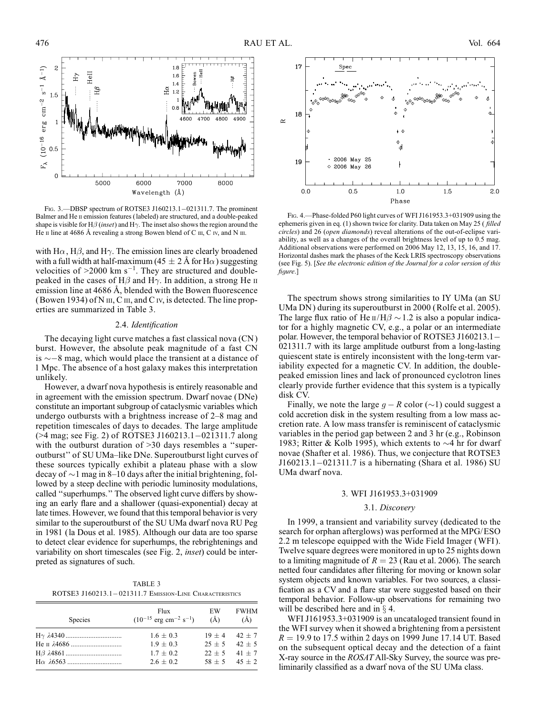

FIG. 3. - DBSP spectrum of ROTSE3 J160213.1-021311.7. The prominent Balmer and He II emission features (labeled) are structured, and a double-peaked shape is visible for H $\beta$  (inset) and H $\gamma$ . The inset also shows the region around the He  $\scriptstyle\rm II$  line at 4686 Å revealing a strong Bowen blend of C  $\scriptstyle\rm III$ , C  $\scriptstyle\rm IV$ , and N  $\scriptstyle\rm III$ .

with H $\alpha$ , H $\beta$ , and H $\gamma$ . The emission lines are clearly broadened with a full width at half-maximum (45  $\pm$  2 Å for H $\alpha$ ) suggesting velocities of  $>$ 2000 km s<sup>-1</sup>. They are structured and doublepeaked in the cases of  $H\beta$  and  $H\gamma$ . In addition, a strong He  $\pi$ emission line at  $4686$  Å, blended with the Bowen fluorescence (Bowen 1934) of N  $III, C II$ , and C  $IV$ , is detected. The line properties are summarized in Table 3.

#### 2.4. Identification

The decaying light curve matches a fast classical nova (CN ) burst. However, the absolute peak magnitude of a fast CN is  $\sim$  –8 mag, which would place the transient at a distance of 1 Mpc. The absence of a host galaxy makes this interpretation unlikely.

However, a dwarf nova hypothesis is entirely reasonable and in agreement with the emission spectrum. Dwarf novae (DNe) constitute an important subgroup of cataclysmic variables which undergo outbursts with a brightness increase of  $2-8$  mag and repetition timescales of days to decades. The large amplitude  $($ >4 mag; see Fig. 2) of ROTSE3 J160213.1–021311.7 along with the outburst duration of >30 days resembles a "superoutburst" of SU UMa-like DNe. Superoutburst light curves of these sources typically exhibit a plateau phase with a slow decay of  $\sim$ 1 mag in 8–10 days after the initial brightening, followed by a steep decline with periodic luminosity modulations, called ''superhumps.'' The observed light curve differs by showing an early flare and a shallower (quasi-exponential) decay at late times. However, we found that this temporal behavior is very similar to the superoutburst of the SU UMa dwarf nova RU Peg in 1981 (la Dous et al. 1985). Although our data are too sparse to detect clear evidence for superhumps, the rebrightenings and variability on short timescales (see Fig. 2, inset) could be interpreted as signatures of such.

TABLE 3 ROTSE3 J160213.1-021311.7 EMISSION-LINE CHARACTERISTICS

| Species | Flux<br>$(10^{-15}$ erg cm <sup>-2</sup> s <sup>-1</sup> ) | EW<br>$\rm(\AA)$ | <b>FWHM</b><br>(A) |
|---------|------------------------------------------------------------|------------------|--------------------|
|         | $1.6 \pm 0.3$                                              |                  | $19 + 4$ $42 + 7$  |
|         | $1.9 + 0.3$                                                | $25 + 5$         | $42 + 5$           |
|         | $1.7 + 0.2$                                                | $22 + 5$         | $41 + 7$           |
|         | $2.6 + 0.2$                                                | $58 + 5$         | $45 + 2$           |



Fig. 4.—Phase-folded P60 light curves of WFI J161953.3+031909 using the ephemeris given in eq. (1) shown twice for clarity. Data taken on May 25 (*filled* circles) and 26 (open diamonds) reveal alterations of the out-of-eclipse variability, as well as a changes of the overall brightness level of up to 0.5 mag. Additional observations were performed on 2006 May 12, 13, 15, 16, and 17. Horizontal dashes mark the phases of the Keck LRIS spectroscopy observations (see Fig. 5). [See the electronic edition of the Journal for a color version of this figure.]

The spectrum shows strong similarities to IY UMa (an SU UMa DN ) during its superoutburst in 2000 (Rolfe et al. 2005). The large flux ratio of He  $\pi/H\beta \sim 1.2$  is also a popular indicator for a highly magnetic CV, e.g., a polar or an intermediate polar. However, the temporal behavior of ROTSE3 J160213.1 021311.7 with its large amplitude outburst from a long-lasting quiescent state is entirely inconsistent with the long-term variability expected for a magnetic CV. In addition, the doublepeaked emission lines and lack of pronounced cyclotron lines clearly provide further evidence that this system is a typically disk CV.

Finally, we note the large  $g - R$  color  $(\sim 1)$  could suggest a cold accretion disk in the system resulting from a low mass accretion rate. A low mass transfer is reminiscent of cataclysmic variables in the period gap between 2 and 3 hr (e.g., Robinson 1983; Ritter & Kolb 1995), which extents to  $\sim$ 4 hr for dwarf novae (Shafter et al. 1986). Thus, we conjecture that ROTSE3  $J160213.1 - 021311.7$  is a hibernating (Shara et al. 1986) SU UMa dwarf nova.

### 3. WFI J161953.3+031909

### 3.1. Discovery

In 1999, a transient and variability survey (dedicated to the search for orphan afterglows) was performed at the MPG/ESO 2.2 m telescope equipped with the Wide Field Imager (WFI ). Twelve square degrees were monitored in up to 25 nights down to a limiting magnitude of  $R = 23$  (Rau et al. 2006). The search netted four candidates after filtering for moving or known solar system objects and known variables. For two sources, a classification as a CV and a flare star were suggested based on their temporal behavior. Follow-up observations for remaining two will be described here and in  $\S$  4.

WFI J161953.3+031909 is an uncataloged transient found in the WFI survey when it showed a brightening from a persistent  $R = 19.9$  to 17.5 within 2 days on 1999 June 17.14 UT. Based on the subsequent optical decay and the detection of a faint X-ray source in the ROSAT All-Sky Survey, the source was preliminarily classified as a dwarf nova of the SU UMa class.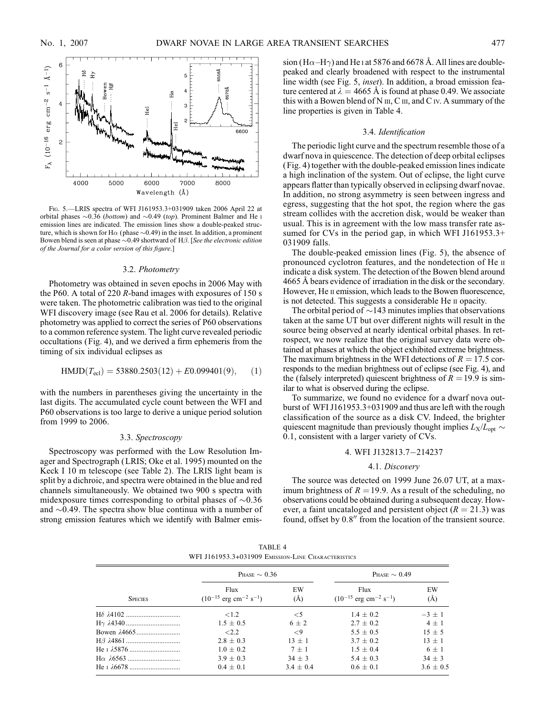

Fig. 5.—LRIS spectra of WFI J161953.3+031909 taken 2006 April 22 at orbital phases  $\sim 0.36$  (*bottom*) and  $\sim 0.49$  (*top*). Prominent Balmer and He i emission lines are indicated. The emission lines show a double-peaked structure, which is shown for H $\alpha$  (phase  $\sim$ 0.49) in the inset. In addition, a prominent Bowen blend is seen at phase  $\sim$  0.49 shortward of H $\beta$ . [See the electronic edition of the Journal for a color version of this figure.]

#### 3.2. Photometry

Photometry was obtained in seven epochs in 2006 May with the P60. A total of 220 R-band images with exposures of 150 s were taken. The photometric calibration was tied to the original WFI discovery image (see Rau et al. 2006 for details). Relative photometry was applied to correct the series of P60 observations to a common reference system. The light curve revealed periodic occultations (Fig. 4), and we derived a firm ephemeris from the timing of six individual eclipses as

$$
HMD(T_{\text{ecl}}) = 53880.2503(12) + E0.099401(9), \quad (1)
$$

with the numbers in parentheses giving the uncertainty in the last digits. The accumulated cycle count between the WFI and P60 observations is too large to derive a unique period solution from 1999 to 2006.

#### 3.3. Spectroscopy

Spectroscopy was performed with the Low Resolution Imager and Spectrograph (LRIS; Oke et al. 1995) mounted on the Keck I 10 m telescope (see Table 2). The LRIS light beam is split by a dichroic, and spectra were obtained in the blue and red channels simultaneously. We obtained two 900 s spectra with midexposure times corresponding to orbital phases of  $\sim 0.36$ and  $\sim$ 0.49. The spectra show blue continua with a number of strong emission features which we identify with Balmer emission (H $\alpha$ -H $\gamma$ ) and He I at 5876 and 6678 Å. All lines are doublepeaked and clearly broadened with respect to the instrumental line width (see Fig. 5, inset). In addition, a broad emission feature centered at  $\lambda = 4665$  Å is found at phase 0.49. We associate this with a Bowen blend of N  $III$ , C  $III$ , and C  $IV$ . A summary of the line properties is given in Table 4.

### 3.4. Identification

The periodic light curve and the spectrum resemble those of a dwarf nova in quiescence. The detection of deep orbital eclipses ( Fig. 4) together with the double-peaked emission lines indicate a high inclination of the system. Out of eclipse, the light curve appears flatter than typically observed in eclipsing dwarf novae. In addition, no strong asymmetry is seen between ingress and egress, suggesting that the hot spot, the region where the gas stream collides with the accretion disk, would be weaker than usual. This is in agreement with the low mass transfer rate assumed for CVs in the period gap, in which WFI J161953.3+ 031909 falls.

The double-peaked emission lines (Fig. 5), the absence of pronounced cyclotron features, and the nondetection of He ii indicate a disk system. The detection of the Bowen blend around 4665 Å bears evidence of irradiation in the disk or the secondary. However, He II emission, which leads to the Bowen fluorescence, is not detected. This suggests a considerable He ii opacity.

The orbital period of  $\sim$  143 minutes implies that observations taken at the same UT but over different nights will result in the source being observed at nearly identical orbital phases. In retrospect, we now realize that the original survey data were obtained at phases at which the object exhibited extreme brightness. The maximum brightness in the WFI detections of  $R = 17.5$  corresponds to the median brightness out of eclipse (see Fig. 4), and the (falsely interpreted) quiescent brightness of  $R = 19.9$  is similar to what is observed during the eclipse.

To summarize, we found no evidence for a dwarf nova outburst of WFI J161953.3+031909 and thus are left with the rough classification of the source as a disk CV. Indeed, the brighter quiescent magnitude than previously thought implies  $L_X/L_{opt} \sim$ 0:1, consistent with a larger variety of CVs.

# 4. WFI J132813.7-214237

## 4.1. Discovery

The source was detected on 1999 June 26.07 UT, at a maximum brightness of  $R = 19.9$ . As a result of the scheduling, no observations could be obtained during a subsequent decay. However, a faint uncataloged and persistent object ( $R = 21.3$ ) was found, offset by  $0.8$ " from the location of the transient source.

TABLE 4 WFI J161953.3+031909 EMISSION-LINE CHARACTERISTICS

| <b>SPECIES</b> | PHASE $\sim 0.36$                                       |             | PHASE $\sim 0.49$                                       |             |
|----------------|---------------------------------------------------------|-------------|---------------------------------------------------------|-------------|
|                | Flux<br>$(10^{-15} \text{ erg cm}^{-2} \text{ s}^{-1})$ | EW<br>(A)   | Flux<br>$(10^{-15} \text{ erg cm}^{-2} \text{ s}^{-1})$ | EW<br>(A)   |
|                | ${<}1.2$                                                | $<$ 5       | $1.4 \pm 0.2$                                           | $-3 + 1$    |
|                | $1.5 \pm 0.5$                                           | $6 + 2$     | $2.7 + 0.2$                                             | $4 + 1$     |
|                | <2.2                                                    | $\leq$ 9    | $5.5 + 0.5$                                             | $15 + 5$    |
|                | $2.8 \pm 0.3$                                           | $13 + 1$    | $3.7 + 0.2$                                             | $13 + 1$    |
|                | $1.0 + 0.2$                                             | $7 + 1$     | $1.5 + 0.4$                                             | $6 + 1$     |
|                | $3.9 + 0.3$                                             | $34 + 3$    | $5.4 + 0.3$                                             | $34 + 3$    |
|                | $0.4 \pm 0.1$                                           | $3.4 + 0.4$ | $0.6 + 0.1$                                             | $3.6 + 0.5$ |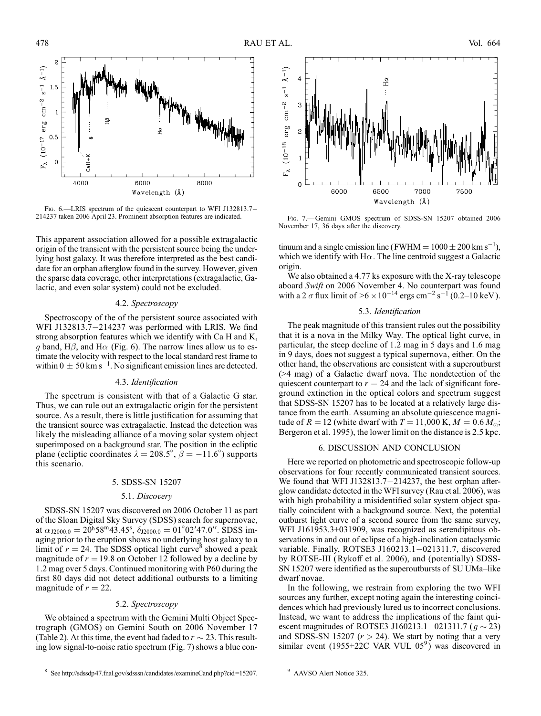

Fig. 6.—LRIS spectrum of the quiescent counterpart to WFI J132813.7-214237 taken 2006 April 23. Prominent absorption features are indicated.

This apparent association allowed for a possible extragalactic origin of the transient with the persistent source being the underlying host galaxy. It was therefore interpreted as the best candidate for an orphan afterglow found in the survey. However, given the sparse data coverage, other interpretations (extragalactic, Galactic, and even solar system) could not be excluded.

# 4.2. Spectroscopy

Spectroscopy of the of the persistent source associated with WFI J132813.7 $-214237$  was performed with LRIS. We find strong absorption features which we identify with Ca H and K, g band, H $\beta$ , and H $\alpha$  (Fig. 6). The narrow lines allow us to estimate the velocity with respect to the local standard rest frame to within  $0 \pm 50$  km s<sup>-1</sup>. No significant emission lines are detected.

#### 4.3. Identification

The spectrum is consistent with that of a Galactic G star. Thus, we can rule out an extragalactic origin for the persistent source. As a result, there is little justification for assuming that the transient source was extragalactic. Instead the detection was likely the misleading alliance of a moving solar system object superimposed on a background star. The position in the ecliptic plane (ecliptic coordinates  $\lambda = 208.5^{\circ}$ ,  $\beta = -11.6^{\circ}$ ) supports this scenario.

#### 5. SDSS-SN 15207

#### 5.1. Discovery

SDSS-SN 15207 was discovered on 2006 October 11 as part of the Sloan Digital Sky Survey (SDSS) search for supernovae, at  $\alpha_{J2000.0} = 20h58m43.45s$ ,  $\delta_{J2000.0} = 01^{\circ}02'47.0''$ . SDSS imaging prior to the eruption shows no underlying host galaxy to a limit of  $r = 24$ . The SDSS optical light curve<sup>8</sup> showed a peak magnitude of  $r = 19.8$  on October 12 followed by a decline by 1.2 mag over 5 days. Continued monitoring with P60 during the first 80 days did not detect additional outbursts to a limiting magnitude of  $r = 22$ .

#### 5.2. Spectroscopy

We obtained a spectrum with the Gemini Multi Object Spectrograph (GMOS) on Gemini South on 2006 November 17 (Table 2). At this time, the event had faded to  $r \sim 23$ . This resulting low signal-to-noise ratio spectrum (Fig. 7) shows a blue con-



FIG. 7. Gemini GMOS spectrum of SDSS-SN 15207 obtained 2006 November 17, 36 days after the discovery.

tinuum and a single emission line (FWHM =  $1000 \pm 200$  km s<sup>-1</sup>), which we identify with  $H\alpha$ . The line centroid suggest a Galactic origin.

We also obtained a 4.77 ks exposure with the X-ray telescope aboard Swift on 2006 November 4. No counterpart was found with a 2  $\sigma$  flux limit of  $>6 \times 10^{-14}$  ergs cm<sup>-2</sup> s<sup>-1</sup> (0.2-10 keV).

# 5.3. Identification

The peak magnitude of this transient rules out the possibility that it is a nova in the Milky Way. The optical light curve, in particular, the steep decline of 1.2 mag in 5 days and 1.6 mag in 9 days, does not suggest a typical supernova, either. On the other hand, the observations are consistent with a superoutburst (>4 mag) of a Galactic dwarf nova. The nondetection of the quiescent counterpart to  $r = 24$  and the lack of significant foreground extinction in the optical colors and spectrum suggest that SDSS-SN 15207 has to be located at a relatively large distance from the earth. Assuming an absolute quiescence magnitude of  $R = 12$  (white dwarf with  $T = 11,000$  K,  $M = 0.6$   $M_{\odot}$ ; Bergeron et al. 1995), the lower limit on the distance is 2.5 kpc.

# 6. DISCUSSION AND CONCLUSION

Here we reported on photometric and spectroscopic follow-up observations for four recently communicated transient sources. We found that WFI J132813.7 $-214237$ , the best orphan afterglow candidate detected in the WFI survey (Rau et al. 2006), was with high probability a misidentified solar system object spatially coincident with a background source. Next, the potential outburst light curve of a second source from the same survey, WFI J161953.3+031909, was recognized as serendipitous observations in and out of eclipse of a high-inclination cataclysmic variable. Finally, ROTSE3 J160213.1-021311.7, discovered by ROTSE-III (Rykoff et al. 2006), and (potentially) SDSS-SN 15207 were identified as the superoutbursts of SU UMa-like dwarf novae.

In the following, we restrain from exploring the two WFI sources any further, except noting again the interesting coincidences which had previously lured us to incorrect conclusions. Instead, we want to address the implications of the faint quiescent magnitudes of ROTSE3 J160213.1–021311.7 ( $g \sim 23$ ) and SDSS-SN 15207 ( $r > 24$ ). We start by noting that a very similar event (1955+22C VAR VUL  $05^9$ ) was discovered in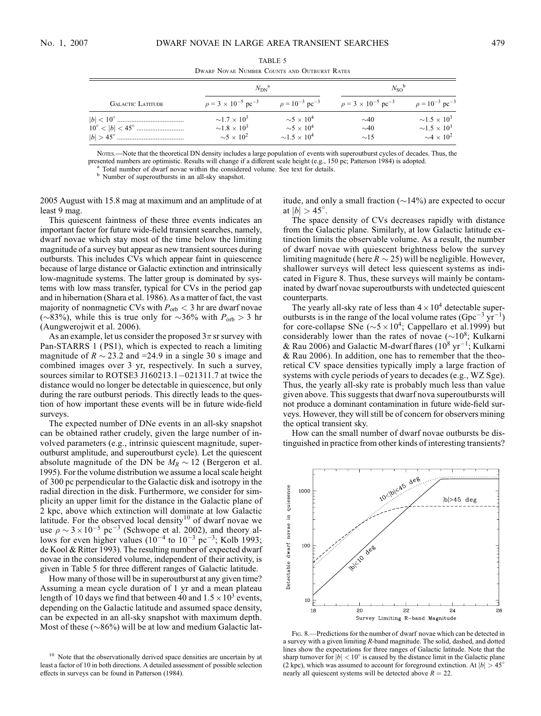|  | I<br>v |
|--|--------|

|                          | $N_{\rm DN}^{\rm a}$                                                                                           |                                                                                                               | $N_{\rm SO}^{\rm b}$                       |                                                                                                                 |
|--------------------------|----------------------------------------------------------------------------------------------------------------|---------------------------------------------------------------------------------------------------------------|--------------------------------------------|-----------------------------------------------------------------------------------------------------------------|
| <b>GALACTIC LATITUDE</b> | $\rho = 3 \times 10^{-5}$ pc <sup>-3</sup>                                                                     | $\rho = 10^{-3}$ pc <sup>-3</sup>                                                                             | $\rho = 3 \times 10^{-5}$ pc <sup>-3</sup> | $\rho = 10^{-3}$ pc <sup>-3</sup>                                                                               |
|                          | $\sim$ 17 $\times$ 10 <sup>3</sup><br>$\sim$ 1.8 $\times$ 10 <sup>3</sup><br>$\sim$ 5 $\times$ 10 <sup>2</sup> | $\sim$ 5 $\times$ 10 <sup>4</sup><br>$\sim$ 5 $\times$ 10 <sup>4</sup><br>$\sim$ 1.5 $\times$ 10 <sup>4</sup> | $\sim 40$<br>$\sim 40$<br>$\sim$ 15        | $\sim$ 1.5 $\times$ 10 <sup>3</sup><br>$\sim$ 1.5 $\times$ 10 <sup>3</sup><br>$\sim$ 4 $\times$ 10 <sup>2</sup> |

TABLE 5 Dwarf Novae Number Counts and Outburst Rates

Notes.—Note that the theoretical DN density includes a large population of events with superoutburst cycles of decades. Thus, the presented numbers are optimistic. Results will change if a different scale height (e.g., 150 pc; Patterson 1984) is adopted.<br><sup>a</sup> Total number of dwarf novae within the considered volume. See text for details.<br><sup>b</sup> Number of

2005 August with 15.8 mag at maximum and an amplitude of at least 9 mag.

This quiescent faintness of these three events indicates an important factor for future wide-field transient searches, namely, dwarf novae which stay most of the time below the limiting magnitude of a survey but appear as new transient sources during outbursts. This includes CVs which appear faint in quiescence because of large distance or Galactic extinction and intrinsically low-magnitude systems. The latter group is dominated by systems with low mass transfer, typical for CVs in the period gap and in hibernation (Shara et al. 1986). As a matter of fact, the vast majority of nonmagnetic CVs with  $P_{\text{orb}} < 3$  hr are dwarf novae ( $\sim$ 83%), while this is true only for  $\sim$ 36% with  $P_{\rm orb} > 3$  hr (Aungwerojwit et al. 2006).

As an example, let us consider the proposed  $3\pi$  sr survey with Pan-STARRS 1 (PS1), which is expected to reach a limiting magnitude of  $R \sim 23.2$  and =24.9 in a single 30 s image and combined images over 3 yr, respectively. In such a survey, sources similar to ROTSE3 J160213.1 $-$ 021311.7 at twice the distance would no longer be detectable in quiescence, but only during the rare outburst periods. This directly leads to the question of how important these events will be in future wide-field surveys.

The expected number of DNe events in an all-sky snapshot can be obtained rather crudely, given the large number of involved parameters (e.g., intrinsic quiescent magnitude, superoutburst amplitude, and superoutburst cycle). Let the quiescent absolute magnitude of the DN be  $M_R \sim 12$  (Bergeron et al. 1995). For the volume distribution we assume a local scale height of 300 pc perpendicular to the Galactic disk and isotropy in the radial direction in the disk. Furthermore, we consider for simplicity an upper limit for the distance in the Galactic plane of 2 kpc, above which extinction will dominate at low Galactic latitude. For the observed local density  $10$  of dwarf novae we use  $\rho \sim 3 \times 10^{-5}$  pc<sup>-3</sup> (Schwope et al. 2002), and theory allows for even higher values  $(10^{-4}$  to  $10^{-3}$  pc<sup>-3</sup>; Kolb 1993; de Kool & Ritter 1993). The resulting number of expected dwarf novae in the considered volume, independent of their activity, is given in Table 5 for three different ranges of Galactic latitude.

How many of those will be in superoutburst at any given time? Assuming a mean cycle duration of 1 yr and a mean plateau length of 10 days we find that between 40 and  $1.5 \times 10^3$  events, depending on the Galactic latitude and assumed space density, can be expected in an all-sky snapshot with maximum depth. Most of these ( ${\sim}86\%$ ) will be at low and medium Galactic latitude, and only a small fraction  $(\sim]14\%)$  are expected to occur at  $|b| > 45^\circ$ .

The space density of CVs decreases rapidly with distance from the Galactic plane. Similarly, at low Galactic latitude extinction limits the observable volume. As a result, the number of dwarf novae with quiescent brightness below the survey limiting magnitude (here  $R \sim 25$ ) will be negligible. However, shallower surveys will detect less quiescent systems as indicated in Figure 8. Thus, these surveys will mainly be contaminated by dwarf novae superoutbursts with undetected quiescent counterparts.

The yearly all-sky rate of less than  $4 \times 10^4$  detectable superoutbursts is in the range of the local volume rates (Gpc<sup>-3</sup> yr<sup>-1</sup>) for core-collapse SNe ( $\sim$ 5  $\times$  10<sup>4</sup>; Cappellaro et al. 1999) but considerably lower than the rates of novae ( $\sim$ 10<sup>8</sup>; Kulkarni & Rau 2006) and Galactic M-dwarf flares ( $10^8 \text{ yr}^{-1}$ ; Kulkarni & Rau 2006). In addition, one has to remember that the theoretical CV space densities typically imply a large fraction of systems with cycle periods of years to decades (e.g., WZ Sge). Thus, the yearly all-sky rate is probably much less than value given above. This suggests that dwarf nova superoutbursts will not produce a dominant contamination in future wide-field surveys. However, they will still be of concern for observers mining the optical transient sky.

How can the small number of dwarf novae outbursts be distinguished in practice from other kinds of interesting transients?



Fig. 8.—Predictions for the number of dwarf novae which can be detected in a survey with a given limiting R-band magnitude. The solid, dashed, and dotted lines show the expectations for three ranges of Galactic latitude. Note that the sharp turnover for  $|b| < 10^{\circ}$  is caused by the distance limit in the Galactic plane (2 kpc), which was assumed to account for foreground extinction. At  $|b| > 45^{\circ}$ nearly all quiescent systems will be detected above  $R = 22$ .

<sup>&</sup>lt;sup>10</sup> Note that the observationally derived space densities are uncertain by at least a factor of 10 in both directions. A detailed assessment of possible selection effects in surveys can be found in Patterson (1984).